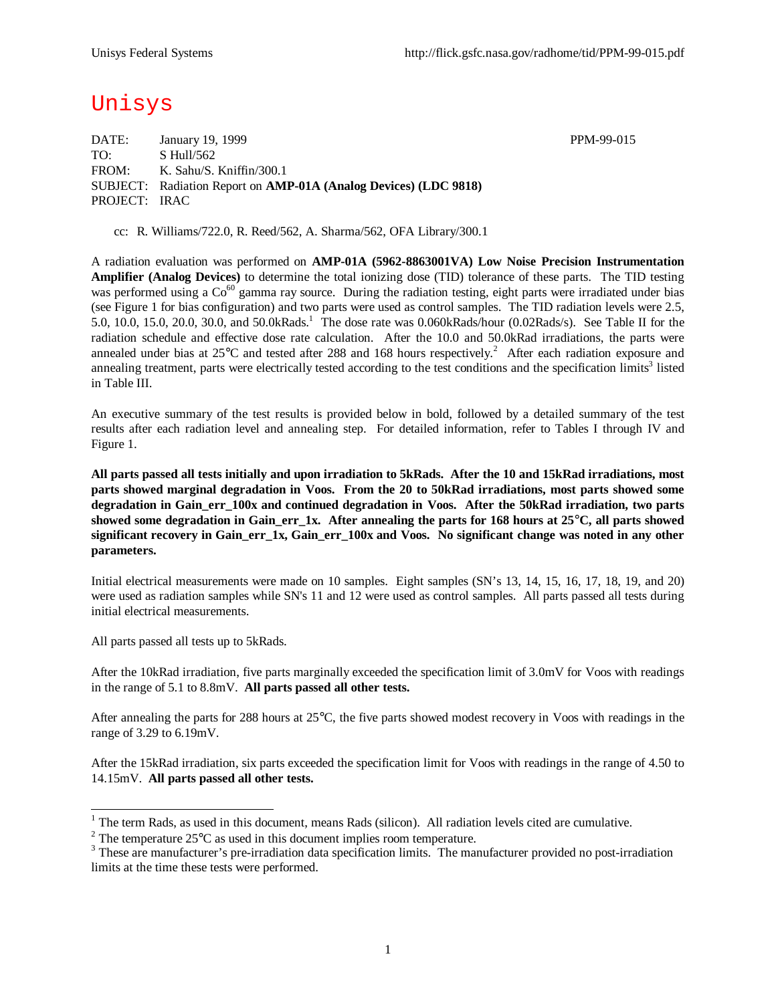# Unisys

DATE: January 19, 1999 PPM-99-015 TO: S Hull/562 FROM: K. Sahu/S. Kniffin/300.1 SUBJECT: Radiation Report on **AMP-01A (Analog Devices) (LDC 9818)** PROJECT: IRAC

cc: R. Williams/722.0, R. Reed/562, A. Sharma/562, OFA Library/300.1

A radiation evaluation was performed on **AMP-01A (5962-8863001VA) Low Noise Precision Instrumentation Amplifier (Analog Devices)** to determine the total ionizing dose (TID) tolerance of these parts. The TID testing was performed using a  $Co^{60}$  gamma ray source. During the radiation testing, eight parts were irradiated under bias (see Figure 1 for bias configuration) and two parts were used as control samples. The TID radiation levels were 2.5, 5.0, 10.0, 15.0, 20.0, 30.0, and 50.0kRads.<sup>1</sup> The dose rate was 0.060kRads/hour (0.02Rads/s). See Table II for the radiation schedule and effective dose rate calculation. After the 10.0 and 50.0kRad irradiations, the parts were annealed under bias at  $25^{\circ}$ C and tested after 288 and 168 hours respectively.<sup>2</sup> After each radiation exposure and annealing treatment, parts were electrically tested according to the test conditions and the specification limits<sup>3</sup> listed in Table III.

An executive summary of the test results is provided below in bold, followed by a detailed summary of the test results after each radiation level and annealing step. For detailed information, refer to Tables I through IV and Figure 1.

**All parts passed all tests initially and upon irradiation to 5kRads. After the 10 and 15kRad irradiations, most parts showed marginal degradation in Voos. From the 20 to 50kRad irradiations, most parts showed some degradation in Gain\_err\_100x and continued degradation in Voos. After the 50kRad irradiation, two parts showed some degradation in Gain\_err\_1x. After annealing the parts for 168 hours at 25°C, all parts showed significant recovery in Gain\_err\_1x, Gain\_err\_100x and Voos. No significant change was noted in any other parameters.**

Initial electrical measurements were made on 10 samples. Eight samples (SN's 13, 14, 15, 16, 17, 18, 19, and 20) were used as radiation samples while SN's 11 and 12 were used as control samples. All parts passed all tests during initial electrical measurements.

All parts passed all tests up to 5kRads.

After the 10kRad irradiation, five parts marginally exceeded the specification limit of 3.0mV for Voos with readings in the range of 5.1 to 8.8mV. **All parts passed all other tests.**

After annealing the parts for 288 hours at 25°C, the five parts showed modest recovery in Voos with readings in the range of 3.29 to 6.19mV.

After the 15kRad irradiation, six parts exceeded the specification limit for Voos with readings in the range of 4.50 to 14.15mV. **All parts passed all other tests.**

<sup>&</sup>lt;sup>1</sup> The term Rads, as used in this document, means Rads (silicon). All radiation levels cited are cumulative.

<sup>&</sup>lt;sup>2</sup> The temperature  $25^{\circ}$ C as used in this document implies room temperature.

 $3$  These are manufacturer's pre-irradiation data specification limits. The manufacturer provided no post-irradiation limits at the time these tests were performed.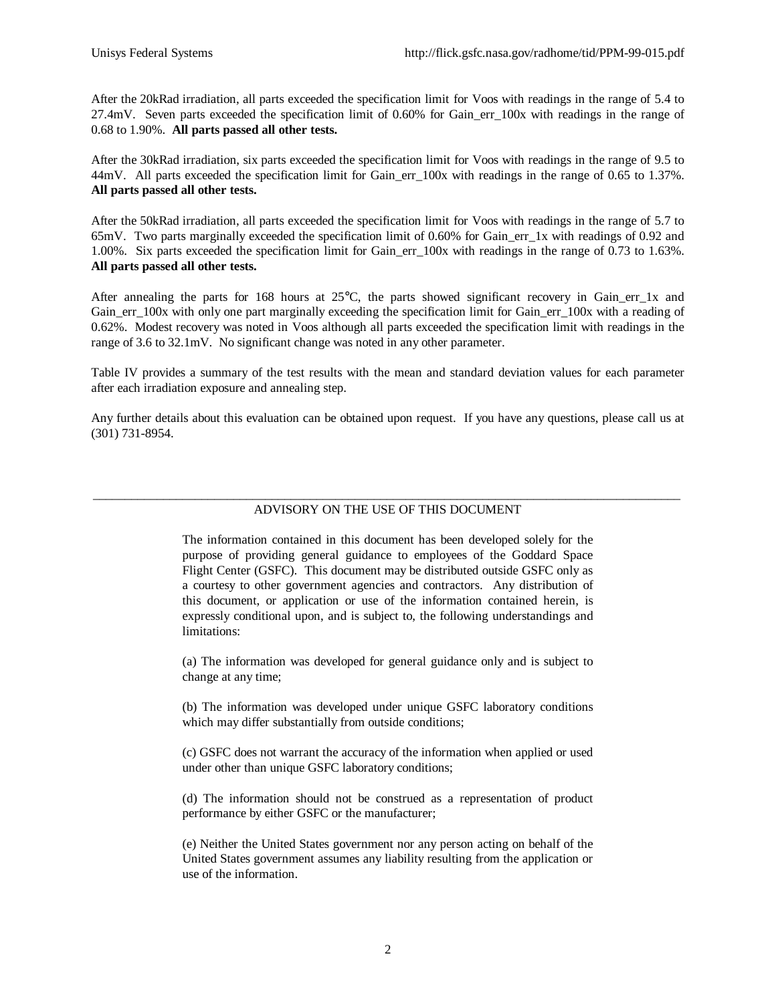After the 20kRad irradiation, all parts exceeded the specification limit for Voos with readings in the range of 5.4 to 27.4mV. Seven parts exceeded the specification limit of 0.60% for Gain\_err\_100x with readings in the range of 0.68 to 1.90%. **All parts passed all other tests.**

After the 30kRad irradiation, six parts exceeded the specification limit for Voos with readings in the range of 9.5 to 44mV. All parts exceeded the specification limit for Gain err 100x with readings in the range of 0.65 to 1.37%. **All parts passed all other tests.**

After the 50kRad irradiation, all parts exceeded the specification limit for Voos with readings in the range of 5.7 to 65mV. Two parts marginally exceeded the specification limit of 0.60% for Gain\_err\_1x with readings of 0.92 and 1.00%. Six parts exceeded the specification limit for Gain\_err\_100x with readings in the range of 0.73 to 1.63%. **All parts passed all other tests.**

After annealing the parts for 168 hours at  $25^{\circ}$ C, the parts showed significant recovery in Gain err 1x and Gain\_err\_100x with only one part marginally exceeding the specification limit for Gain\_err\_100x with a reading of 0.62%. Modest recovery was noted in Voos although all parts exceeded the specification limit with readings in the range of 3.6 to 32.1mV. No significant change was noted in any other parameter.

Table IV provides a summary of the test results with the mean and standard deviation values for each parameter after each irradiation exposure and annealing step.

Any further details about this evaluation can be obtained upon request. If you have any questions, please call us at (301) 731-8954.

### \_\_\_\_\_\_\_\_\_\_\_\_\_\_\_\_\_\_\_\_\_\_\_\_\_\_\_\_\_\_\_\_\_\_\_\_\_\_\_\_\_\_\_\_\_\_\_\_\_\_\_\_\_\_\_\_\_\_\_\_\_\_\_\_\_\_\_\_\_\_\_\_\_\_\_\_\_\_\_\_\_\_\_\_\_\_\_\_\_\_\_\_ ADVISORY ON THE USE OF THIS DOCUMENT

The information contained in this document has been developed solely for the purpose of providing general guidance to employees of the Goddard Space Flight Center (GSFC). This document may be distributed outside GSFC only as a courtesy to other government agencies and contractors. Any distribution of this document, or application or use of the information contained herein, is expressly conditional upon, and is subject to, the following understandings and limitations:

(a) The information was developed for general guidance only and is subject to change at any time;

(b) The information was developed under unique GSFC laboratory conditions which may differ substantially from outside conditions;

(c) GSFC does not warrant the accuracy of the information when applied or used under other than unique GSFC laboratory conditions;

(d) The information should not be construed as a representation of product performance by either GSFC or the manufacturer;

(e) Neither the United States government nor any person acting on behalf of the United States government assumes any liability resulting from the application or use of the information.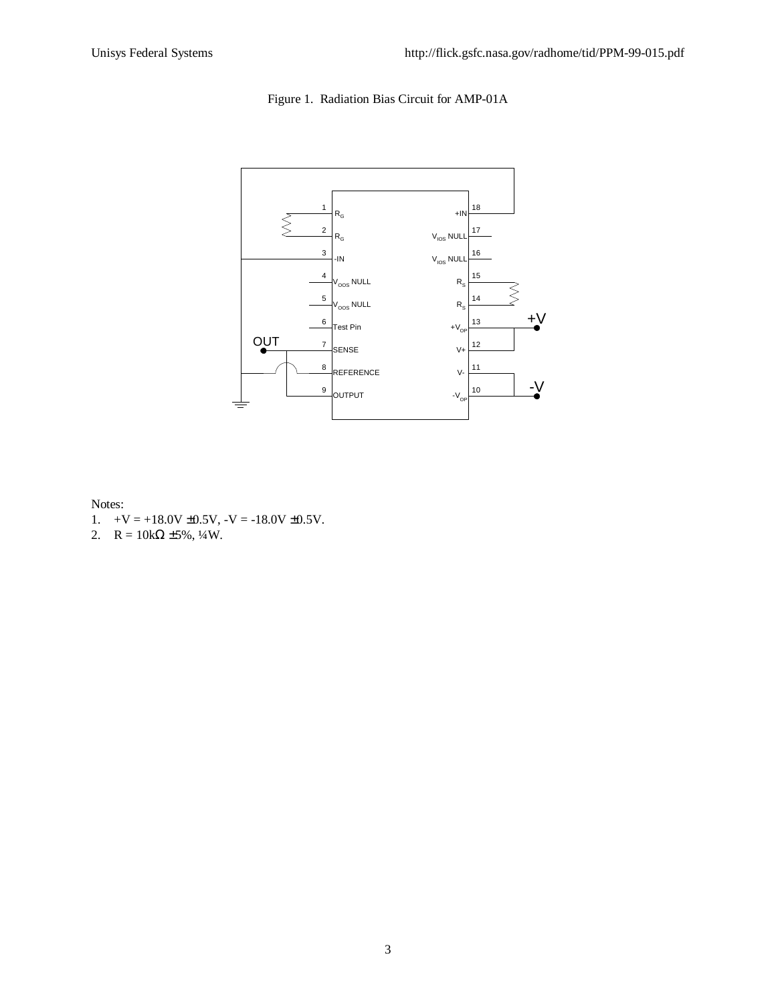Figure 1. Radiation Bias Circuit for AMP-01A



### Notes:

- 1.  $+V = +18.0V \pm 0.5V$ ,  $-V = -18.0V \pm 0.5V$ .
- 2.  $R = 10k\Omega \pm 5\%, \frac{1}{4}W$ .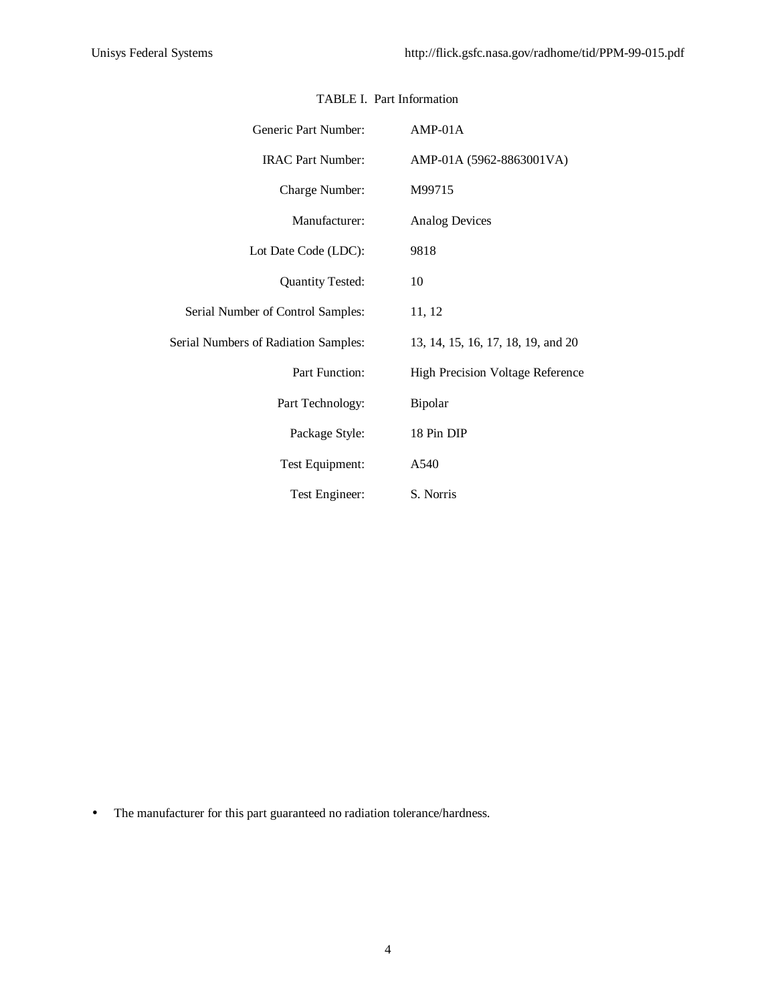| Generic Part Number:                        | $AMP-01A$                               |
|---------------------------------------------|-----------------------------------------|
| <b>IRAC Part Number:</b>                    | AMP-01A (5962-8863001VA)                |
| Charge Number:                              | M99715                                  |
| Manufacturer:                               | <b>Analog Devices</b>                   |
| Lot Date Code (LDC):                        | 9818                                    |
| <b>Quantity Tested:</b>                     | 10                                      |
| Serial Number of Control Samples:           | 11, 12                                  |
| <b>Serial Numbers of Radiation Samples:</b> | 13, 14, 15, 16, 17, 18, 19, and 20      |
| Part Function:                              | <b>High Precision Voltage Reference</b> |
| Part Technology:                            | Bipolar                                 |
| Package Style:                              | 18 Pin DIP                              |
| Test Equipment:                             | A540                                    |
| Test Engineer:                              | S. Norris                               |

# TABLE I. Part Information

• The manufacturer for this part guaranteed no radiation tolerance/hardness.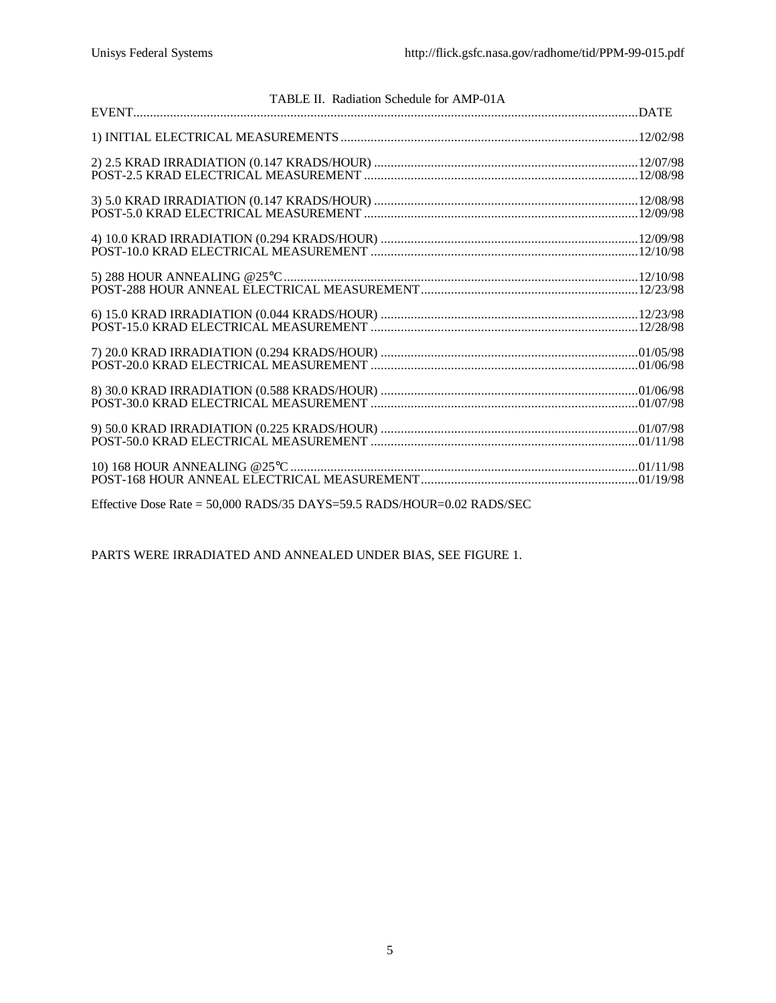| TABLE II. Radiation Schedule for AMP-01A |  |
|------------------------------------------|--|
|                                          |  |
|                                          |  |
|                                          |  |
|                                          |  |
|                                          |  |
|                                          |  |
|                                          |  |
|                                          |  |
|                                          |  |
|                                          |  |
|                                          |  |

Effective Dose Rate = 50,000 RADS/35 DAYS=59.5 RADS/HOUR=0.02 RADS/SEC

PARTS WERE IRRADIATED AND ANNEALED UNDER BIAS, SEE FIGURE 1.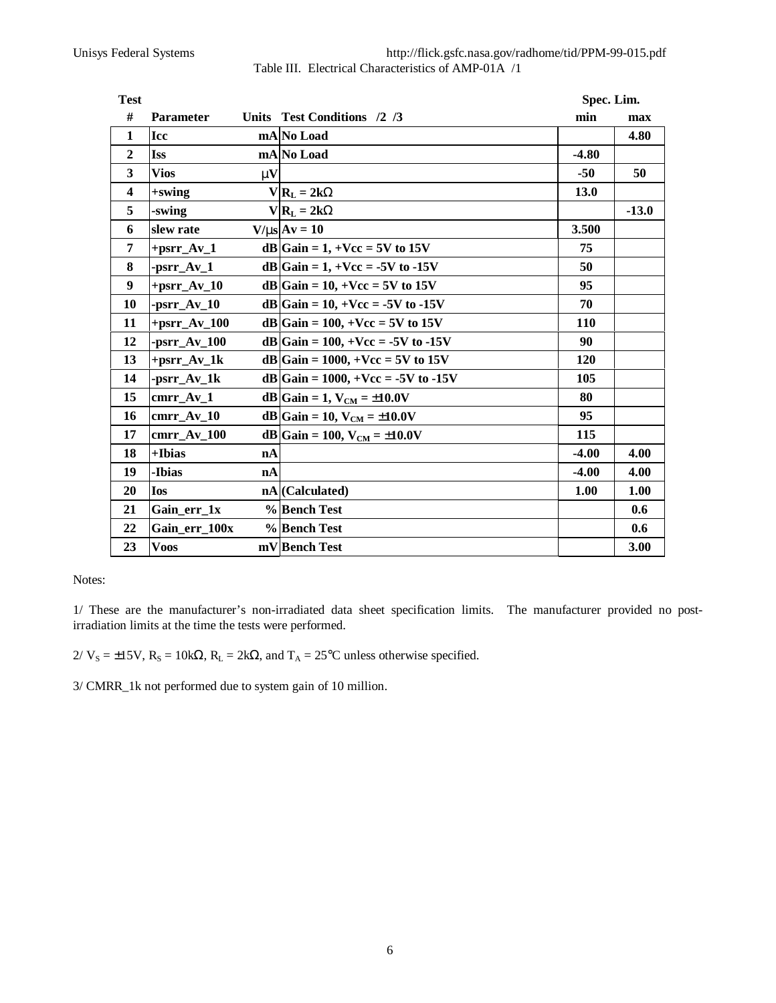Unisys Federal Systems http://flick.gsfc.nasa.gov/radhome/tid/PPM-99-015.pdf Table III. Electrical Characteristics of AMP-01A /1

| <b>Test</b>             |                  |              |                                       | Spec. Lim. |         |  |
|-------------------------|------------------|--------------|---------------------------------------|------------|---------|--|
| #                       | <b>Parameter</b> |              | Units Test Conditions /2 /3           | min        | max     |  |
| $\mathbf{1}$            | <b>Icc</b>       |              | mA No Load                            |            | 4.80    |  |
| $\overline{2}$          | <b>Iss</b>       |              | mA No Load                            | $-4.80$    |         |  |
| $\overline{\mathbf{3}}$ | <b>Vios</b>      | $\mathbf{m}$ |                                       | $-50$      | 50      |  |
| $\overline{\mathbf{4}}$ | +swing           |              | $V R_L = 2kW$                         | 13.0       |         |  |
| 5                       | -swing           |              | $V R_L = 2kW$                         |            | $-13.0$ |  |
| 6                       | slew rate        |              | $V/ms$ $Av = 10$                      | 3.500      |         |  |
| $\overline{7}$          | $+psrr_Av_1$     |              | $dB Gain = 1, +Vec = 5V$ to 15V       | 75         |         |  |
| 8                       | $-psrr_Av_1$     |              | dB Gain = 1, + Vcc = -5V to -15V      | 50         |         |  |
| $\boldsymbol{9}$        | $+psrr_Av_10$    |              | dB Gain = 10, + Vcc = 5V to 15V       | 95         |         |  |
| 10                      | $-pSTr_Av_10$    |              | dB Gain = 10, + Vcc = -5V to -15V     | 70         |         |  |
| 11                      | $+psrr_Av_100$   |              | dB Gain = 100, + Vcc = 5V to 15V      | 110        |         |  |
| 12                      | $-psrr$ $Av_100$ |              | dB Gain = $100, +Vcc = -5V$ to $-15V$ | 90         |         |  |
| 13                      | $+psrr_Av_1k$    |              | $dB Gain = 1000, +Vcc = 5V$ to 15V    | 120        |         |  |
| 14                      | -psrr_Av_1k      |              | dB Gain = 1000, + Vcc = -5V to -15V   | 105        |         |  |
| 15                      | cmrr Av 1        |              | $dB Gain = 1, VCM = ±10.0V$           | 80         |         |  |
| 16                      | cmrr Av 10       |              | dB Gain = 10, $V_{CM} = \pm 10.0 V$   | 95         |         |  |
| 17                      | cmrr Av 100      |              | dB Gain = 100, $V_{CM} = \pm 10.0 V$  | 115        |         |  |
| 18                      | +Ibias           | nA           |                                       | $-4.00$    | 4.00    |  |
| 19                      | -Ibias           | nA           |                                       | $-4.00$    | 4.00    |  |
| 20                      | <b>Ios</b>       |              | nA (Calculated)                       | 1.00       | 1.00    |  |
| 21                      | Gain_err_1x      |              | % Bench Test                          |            | 0.6     |  |
| 22                      | Gain err 100x    |              | %Bench Test                           |            | 0.6     |  |
| 23                      | <b>Voos</b>      |              | mV Bench Test                         |            | 3.00    |  |

Notes:

1/ These are the manufacturer's non-irradiated data sheet specification limits. The manufacturer provided no postirradiation limits at the time the tests were performed.

2/  $V_s = \pm 15V$ ,  $R_s = 10kΩ$ ,  $R_L = 2kΩ$ , and  $T_A = 25°C$  unless otherwise specified.

3/ CMRR\_1k not performed due to system gain of 10 million.